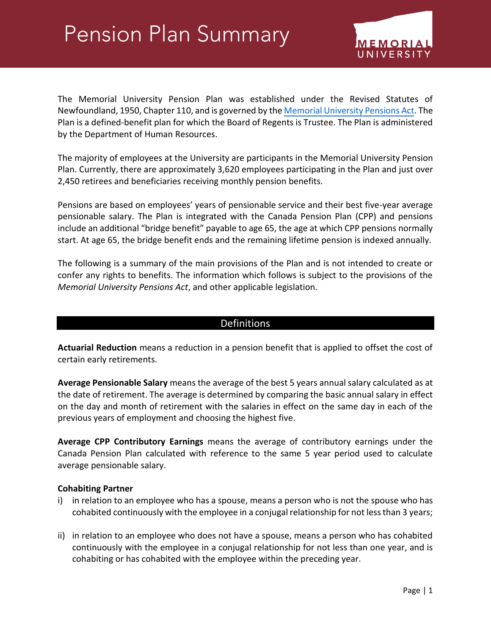# **Pension Plan Summary**



The Memorial University Pension Plan was established under the Revised Statutes of Newfoundland, 1950, Chapter 110, and is governed by th[e Memorial University Pensions Act.](http://www.assembly.nl.ca/legislation/sr/statutes/m08.htm) The Plan is a defined-benefit plan for which the Board of Regents is Trustee. The Plan is administered by the Department of Human Resources.

The majority of employees at the University are participants in the Memorial University Pension Plan. Currently, there are approximately 3,620 employees participating in the Plan and just over 2,450 retirees and beneficiaries receiving monthly pension benefits.

Pensions are based on employees' years of pensionable service and their best five-year average pensionable salary. The Plan is integrated with the Canada Pension Plan (CPP) and pensions include an additional "bridge benefit" payable to age 65, the age at which CPP pensions normally start. At age 65, the bridge benefit ends and the remaining lifetime pension is indexed annually.

The following is a summary of the main provisions of the Plan and is not intended to create or confer any rights to benefits. The information which follows is subject to the provisions of the *Memorial University Pensions Act*, and other applicable legislation.

# Definitions

**Actuarial Reduction** means a reduction in a pension benefit that is applied to offset the cost of certain early retirements.

**Average Pensionable Salary** means the average of the best 5 years annual salary calculated as at the date of retirement. The average is determined by comparing the basic annual salary in effect on the day and month of retirement with the salaries in effect on the same day in each of the previous years of employment and choosing the highest five.

**Average CPP Contributory Earnings** means the average of contributory earnings under the Canada Pension Plan calculated with reference to the same 5 year period used to calculate average pensionable salary.

## **Cohabiting Partner**

- i) in relation to an employee who has a spouse, means a person who is not the spouse who has cohabited continuously with the employee in a conjugal relationship for not less than 3 years;
- ii) in relation to an employee who does not have a spouse, means a person who has cohabited continuously with the employee in a conjugal relationship for not less than one year, and is cohabiting or has cohabited with the employee within the preceding year.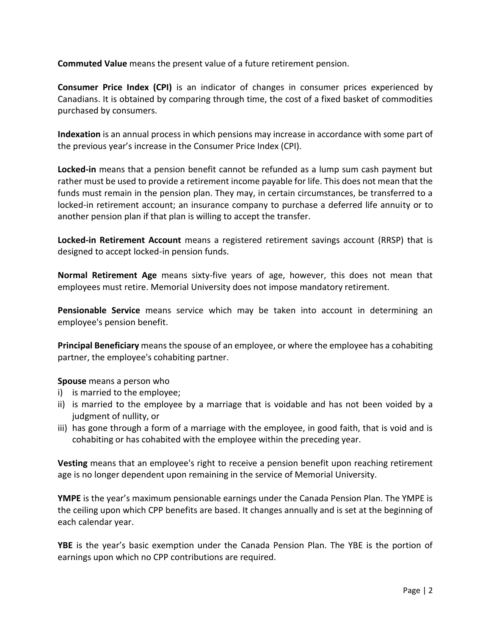**Commuted Value** means the present value of a future retirement pension.

**Consumer Price Index (CPI)** is an indicator of changes in consumer prices experienced by Canadians. It is obtained by comparing through time, the cost of a fixed basket of commodities purchased by consumers.

**Indexation** is an annual process in which pensions may increase in accordance with some part of the previous year's increase in the Consumer Price Index (CPI).

**Locked-in** means that a pension benefit cannot be refunded as a lump sum cash payment but rather must be used to provide a retirement income payable for life. This does not mean that the funds must remain in the pension plan. They may, in certain circumstances, be transferred to a locked-in retirement account; an insurance company to purchase a deferred life annuity or to another pension plan if that plan is willing to accept the transfer.

**Locked-in Retirement Account** means a registered retirement savings account (RRSP) that is designed to accept locked-in pension funds.

**Normal Retirement Age** means sixty-five years of age, however, this does not mean that employees must retire. Memorial University does not impose mandatory retirement.

**Pensionable Service** means service which may be taken into account in determining an employee's pension benefit.

**Principal Beneficiary** means the spouse of an employee, or where the employee has a cohabiting partner, the employee's cohabiting partner.

## **Spouse** means a person who

- i) is married to the employee;
- ii) is married to the employee by a marriage that is voidable and has not been voided by a judgment of nullity, or
- iii) has gone through a form of a marriage with the employee, in good faith, that is void and is cohabiting or has cohabited with the employee within the preceding year.

**Vesting** means that an employee's right to receive a pension benefit upon reaching retirement age is no longer dependent upon remaining in the service of Memorial University.

**YMPE** is the year's maximum pensionable earnings under the Canada Pension Plan. The YMPE is the ceiling upon which CPP benefits are based. It changes annually and is set at the beginning of each calendar year.

**YBE** is the year's basic exemption under the Canada Pension Plan. The YBE is the portion of earnings upon which no CPP contributions are required.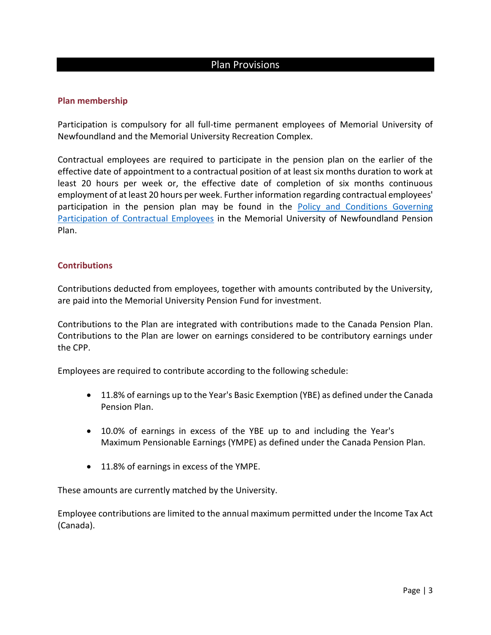# Plan Provisions

## **Plan membership**

Participation is compulsory for all full-time permanent employees of Memorial University of Newfoundland and the Memorial University Recreation Complex.

Contractual employees are required to participate in the pension plan on the earlier of the effective date of appointment to a contractual position of at least six months duration to work at least 20 hours per week or, the effective date of completion of six months continuous employment of at least 20 hours per week. Further information regarding contractual employees' participation in the pension plan may be found in the [Policy and Conditions Governing](https://www.mun.ca/hr/services/benefits/Directives_for_web_December_2013.pdf)  [Participation of Contractual Employees](https://www.mun.ca/hr/services/benefits/Directives_for_web_December_2013.pdf) in the Memorial University of Newfoundland Pension Plan.

#### **Contributions**

Contributions deducted from employees, together with amounts contributed by the University, are paid into the Memorial University Pension Fund for investment.

Contributions to the Plan are integrated with contributions made to the Canada Pension Plan. Contributions to the Plan are lower on earnings considered to be contributory earnings under the CPP.

Employees are required to contribute according to the following schedule:

- 11.8% of earnings up to the Year's Basic Exemption (YBE) as defined under the Canada Pension Plan.
- 10.0% of earnings in excess of the YBE up to and including the Year's Maximum Pensionable Earnings (YMPE) as defined under the Canada Pension Plan.
- 11.8% of earnings in excess of the YMPE.

These amounts are currently matched by the University.

Employee contributions are limited to the annual maximum permitted under the Income Tax Act (Canada).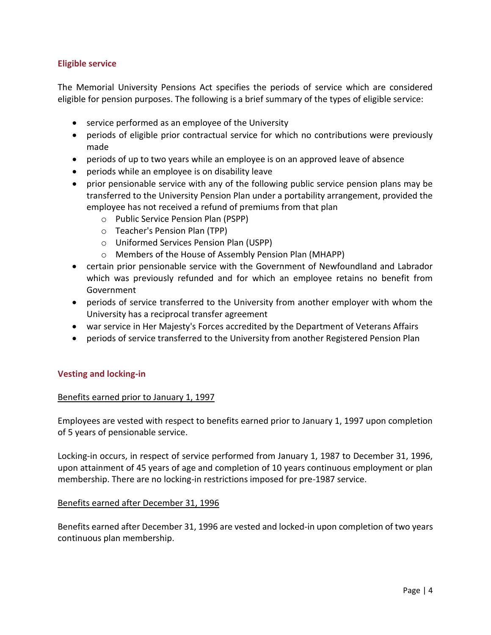## **Eligible service**

The Memorial University Pensions Act specifies the periods of service which are considered eligible for pension purposes. The following is a brief summary of the types of eligible service:

- service performed as an employee of the University
- periods of eligible prior contractual service for which no contributions were previously made
- periods of up to two years while an employee is on an approved leave of absence
- periods while an employee is on disability leave
- prior pensionable service with any of the following public service pension plans may be transferred to the University Pension Plan under a portability arrangement, provided the employee has not received a refund of premiums from that plan
	- o Public Service Pension Plan (PSPP)
	- o Teacher's Pension Plan (TPP)
	- o Uniformed Services Pension Plan (USPP)
	- o Members of the House of Assembly Pension Plan (MHAPP)
- certain prior pensionable service with the Government of Newfoundland and Labrador which was previously refunded and for which an employee retains no benefit from Government
- periods of service transferred to the University from another employer with whom the University has a reciprocal transfer agreement
- war service in Her Majesty's Forces accredited by the Department of Veterans Affairs
- periods of service transferred to the University from another Registered Pension Plan

## **Vesting and locking-in**

#### Benefits earned prior to January 1, 1997

Employees are vested with respect to benefits earned prior to January 1, 1997 upon completion of 5 years of pensionable service.

Locking-in occurs, in respect of service performed from January 1, 1987 to December 31, 1996, upon attainment of 45 years of age and completion of 10 years continuous employment or plan membership. There are no locking-in restrictions imposed for pre-1987 service.

#### Benefits earned after December 31, 1996

Benefits earned after December 31, 1996 are vested and locked-in upon completion of two years continuous plan membership.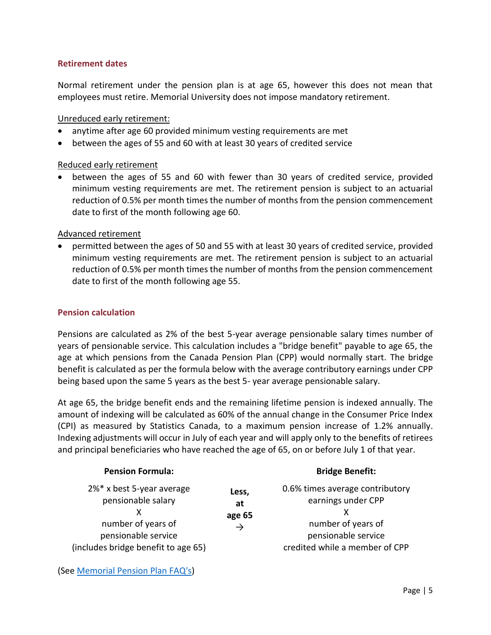## **Retirement dates**

Normal retirement under the pension plan is at age 65, however this does not mean that employees must retire. Memorial University does not impose mandatory retirement.

## Unreduced early retirement:

- anytime after age 60 provided minimum vesting requirements are met
- between the ages of 55 and 60 with at least 30 years of credited service

## Reduced early retirement

 between the ages of 55 and 60 with fewer than 30 years of credited service, provided minimum vesting requirements are met. The retirement pension is subject to an actuarial reduction of 0.5% per month times the number of months from the pension commencement date to first of the month following age 60.

## Advanced retirement

 permitted between the ages of 50 and 55 with at least 30 years of credited service, provided minimum vesting requirements are met. The retirement pension is subject to an actuarial reduction of 0.5% per month times the number of months from the pension commencement date to first of the month following age 55.

## **Pension calculation**

Pensions are calculated as 2% of the best 5-year average pensionable salary times number of years of pensionable service. This calculation includes a "bridge benefit" payable to age 65, the age at which pensions from the Canada Pension Plan (CPP) would normally start. The bridge benefit is calculated as per the formula below with the average contributory earnings under CPP being based upon the same 5 years as the best 5- year average pensionable salary.

At age 65, the bridge benefit ends and the remaining lifetime pension is indexed annually. The amount of indexing will be calculated as 60% of the annual change in the Consumer Price Index (CPI) as measured by Statistics Canada, to a maximum pension increase of 1.2% annually. Indexing adjustments will occur in July of each year and will apply only to the benefits of retirees and principal beneficiaries who have reached the age of 65, on or before July 1 of that year.

| <b>Pension Formula:</b>                                                                                                             |                                        | <b>Bridge Benefit:</b>                                                                                                               |
|-------------------------------------------------------------------------------------------------------------------------------------|----------------------------------------|--------------------------------------------------------------------------------------------------------------------------------------|
| 2%* x best 5-year average<br>pensionable salary<br>number of years of<br>pensionable service<br>(includes bridge benefit to age 65) | Less,<br>at<br>age 65<br>$\rightarrow$ | 0.6% times average contributory<br>earnings under CPP<br>number of years of<br>pensionable service<br>credited while a member of CPP |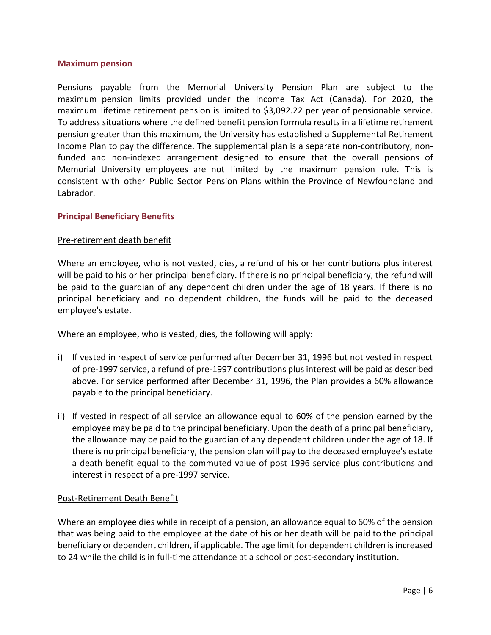#### **Maximum pension**

Pensions payable from the Memorial University Pension Plan are subject to the maximum pension limits provided under the Income Tax Act (Canada). For 2020, the maximum lifetime retirement pension is limited to \$3,092.22 per year of pensionable service. To address situations where the defined benefit pension formula results in a lifetime retirement pension greater than this maximum, the University has established a Supplemental Retirement Income Plan to pay the difference. The supplemental plan is a separate non-contributory, nonfunded and non-indexed arrangement designed to ensure that the overall pensions of Memorial University employees are not limited by the maximum pension rule. This is consistent with other Public Sector Pension Plans within the Province of Newfoundland and Labrador.

## **Principal Beneficiary Benefits**

## Pre-retirement death benefit

Where an employee, who is not vested, dies, a refund of his or her contributions plus interest will be paid to his or her principal beneficiary. If there is no principal beneficiary, the refund will be paid to the guardian of any dependent children under the age of 18 years. If there is no principal beneficiary and no dependent children, the funds will be paid to the deceased employee's estate.

Where an employee, who is vested, dies, the following will apply:

- i) If vested in respect of service performed after December 31, 1996 but not vested in respect of pre-1997 service, a refund of pre-1997 contributions plus interest will be paid as described above. For service performed after December 31, 1996, the Plan provides a 60% allowance payable to the principal beneficiary.
- ii) If vested in respect of all service an allowance equal to 60% of the pension earned by the employee may be paid to the principal beneficiary. Upon the death of a principal beneficiary, the allowance may be paid to the guardian of any dependent children under the age of 18. If there is no principal beneficiary, the pension plan will pay to the deceased employee's estate a death benefit equal to the commuted value of post 1996 service plus contributions and interest in respect of a pre-1997 service.

#### Post-Retirement Death Benefit

Where an employee dies while in receipt of a pension, an allowance equal to 60% of the pension that was being paid to the employee at the date of his or her death will be paid to the principal beneficiary or dependent children, if applicable. The age limit for dependent children is increased to 24 while the child is in full-time attendance at a school or post-secondary institution.